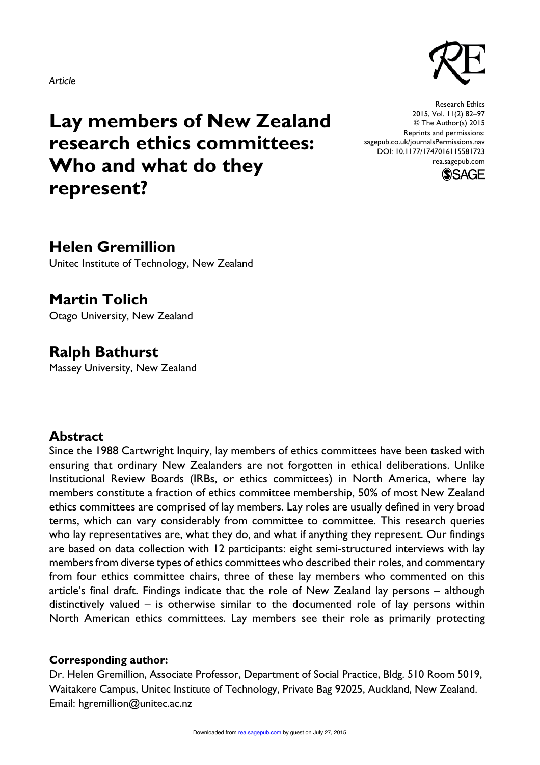#### *Article*



**Lay members of New Zealand research ethics committees: Who and what do they represent?**

Research Ethics 2015, Vol. 11(2) 82–97 © The Author(s) 2015 Reprints and permissions: sagepub.co.uk/journalsPermissions.nav DOI: 10.1177/1747016115581723 rea.sagepub.com



# **Helen Gremillion**

Unitec Institute of Technology, New Zealand

# **Martin Tolich**

Otago University, New Zealand

# **Ralph Bathurst**

Massey University, New Zealand

#### **Abstract**

Since the 1988 Cartwright Inquiry, lay members of ethics committees have been tasked with ensuring that ordinary New Zealanders are not forgotten in ethical deliberations. Unlike Institutional Review Boards (IRBs, or ethics committees) in North America, where lay members constitute a fraction of ethics committee membership, 50% of most New Zealand ethics committees are comprised of lay members. Lay roles are usually defined in very broad terms, which can vary considerably from committee to committee. This research queries who lay representatives are, what they do, and what if anything they represent. Our findings are based on data collection with 12 participants: eight semi-structured interviews with lay members from diverse types of ethics committees who described their roles, and commentary from four ethics committee chairs, three of these lay members who commented on this article's final draft. Findings indicate that the role of New Zealand lay persons – although distinctively valued – is otherwise similar to the documented role of lay persons within North American ethics committees. Lay members see their role as primarily protecting

#### **Corresponding author:**

Dr. Helen Gremillion, Associate Professor, Department of Social Practice, Bldg. 510 Room 5019, Waitakere Campus, Unitec Institute of Technology, Private Bag 92025, Auckland, New Zealand. Email: hgremillion@unitec.ac.nz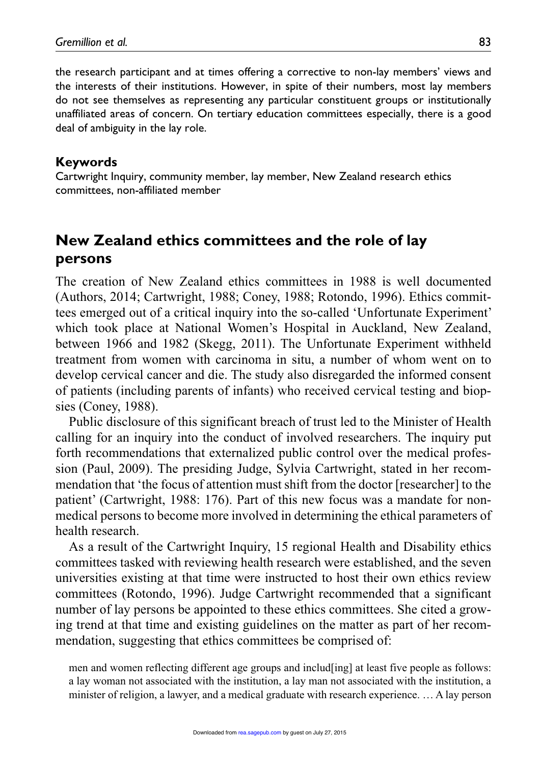the research participant and at times offering a corrective to non-lay members' views and the interests of their institutions. However, in spite of their numbers, most lay members do not see themselves as representing any particular constituent groups or institutionally unaffiliated areas of concern. On tertiary education committees especially, there is a good deal of ambiguity in the lay role.

#### **Keywords**

Cartwright Inquiry, community member, lay member, New Zealand research ethics committees, non-affiliated member

# **New Zealand ethics committees and the role of lay persons**

The creation of New Zealand ethics committees in 1988 is well documented (Authors, 2014; Cartwright, 1988; Coney, 1988; Rotondo, 1996). Ethics committees emerged out of a critical inquiry into the so-called 'Unfortunate Experiment' which took place at National Women's Hospital in Auckland, New Zealand, between 1966 and 1982 (Skegg, 2011). The Unfortunate Experiment withheld treatment from women with carcinoma in situ, a number of whom went on to develop cervical cancer and die. The study also disregarded the informed consent of patients (including parents of infants) who received cervical testing and biopsies (Coney, 1988).

Public disclosure of this significant breach of trust led to the Minister of Health calling for an inquiry into the conduct of involved researchers. The inquiry put forth recommendations that externalized public control over the medical profession (Paul, 2009). The presiding Judge, Sylvia Cartwright, stated in her recommendation that 'the focus of attention must shift from the doctor [researcher] to the patient' (Cartwright, 1988: 176). Part of this new focus was a mandate for nonmedical persons to become more involved in determining the ethical parameters of health research.

As a result of the Cartwright Inquiry, 15 regional Health and Disability ethics committees tasked with reviewing health research were established, and the seven universities existing at that time were instructed to host their own ethics review committees (Rotondo, 1996). Judge Cartwright recommended that a significant number of lay persons be appointed to these ethics committees. She cited a growing trend at that time and existing guidelines on the matter as part of her recommendation, suggesting that ethics committees be comprised of:

men and women reflecting different age groups and includ[ing] at least five people as follows: a lay woman not associated with the institution, a lay man not associated with the institution, a minister of religion, a lawyer, and a medical graduate with research experience. … A lay person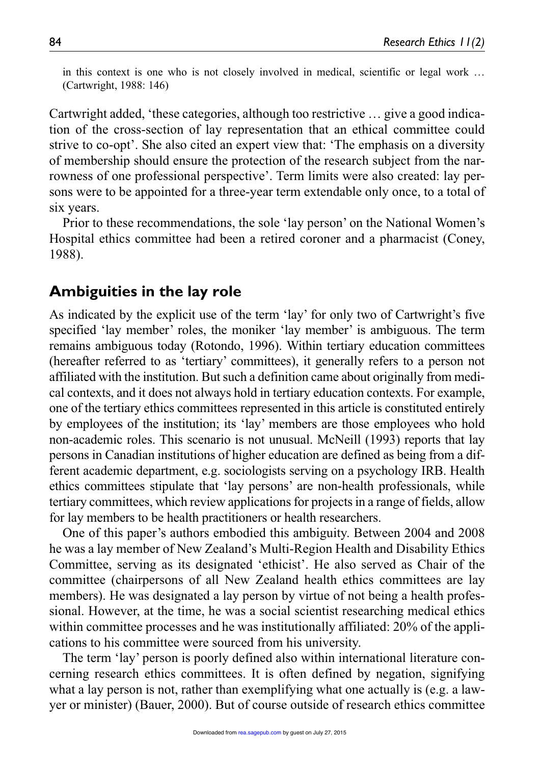in this context is one who is not closely involved in medical, scientific or legal work … (Cartwright, 1988: 146)

Cartwright added, 'these categories, although too restrictive … give a good indication of the cross-section of lay representation that an ethical committee could strive to co-opt'. She also cited an expert view that: 'The emphasis on a diversity of membership should ensure the protection of the research subject from the narrowness of one professional perspective'. Term limits were also created: lay persons were to be appointed for a three-year term extendable only once, to a total of six years.

Prior to these recommendations, the sole 'lay person' on the National Women's Hospital ethics committee had been a retired coroner and a pharmacist (Coney, 1988).

# **Ambiguities in the lay role**

As indicated by the explicit use of the term 'lay' for only two of Cartwright's five specified 'lay member' roles, the moniker 'lay member' is ambiguous. The term remains ambiguous today (Rotondo, 1996). Within tertiary education committees (hereafter referred to as 'tertiary' committees), it generally refers to a person not affiliated with the institution. But such a definition came about originally from medical contexts, and it does not always hold in tertiary education contexts. For example, one of the tertiary ethics committees represented in this article is constituted entirely by employees of the institution; its 'lay' members are those employees who hold non-academic roles. This scenario is not unusual. McNeill (1993) reports that lay persons in Canadian institutions of higher education are defined as being from a different academic department, e.g. sociologists serving on a psychology IRB. Health ethics committees stipulate that 'lay persons' are non-health professionals, while tertiary committees, which review applications for projects in a range of fields, allow for lay members to be health practitioners or health researchers.

One of this paper's authors embodied this ambiguity. Between 2004 and 2008 he was a lay member of New Zealand's Multi-Region Health and Disability Ethics Committee, serving as its designated 'ethicist'. He also served as Chair of the committee (chairpersons of all New Zealand health ethics committees are lay members). He was designated a lay person by virtue of not being a health professional. However, at the time, he was a social scientist researching medical ethics within committee processes and he was institutionally affiliated: 20% of the applications to his committee were sourced from his university.

The term 'lay' person is poorly defined also within international literature concerning research ethics committees. It is often defined by negation, signifying what a lay person is not, rather than exemplifying what one actually is (e.g. a lawyer or minister) (Bauer, 2000). But of course outside of research ethics committee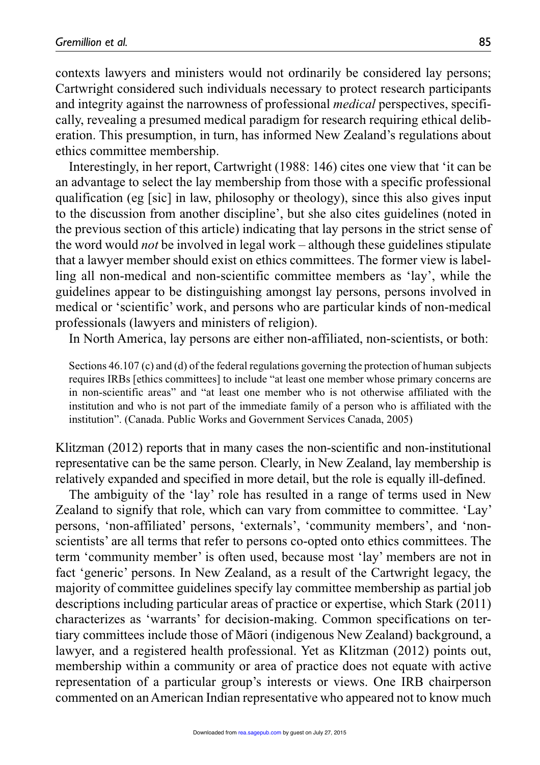contexts lawyers and ministers would not ordinarily be considered lay persons; Cartwright considered such individuals necessary to protect research participants and integrity against the narrowness of professional *medical* perspectives, specifically, revealing a presumed medical paradigm for research requiring ethical deliberation. This presumption, in turn, has informed New Zealand's regulations about ethics committee membership.

Interestingly, in her report, Cartwright (1988: 146) cites one view that 'it can be an advantage to select the lay membership from those with a specific professional qualification (eg [sic] in law, philosophy or theology), since this also gives input to the discussion from another discipline', but she also cites guidelines (noted in the previous section of this article) indicating that lay persons in the strict sense of the word would *not* be involved in legal work – although these guidelines stipulate that a lawyer member should exist on ethics committees. The former view is labelling all non-medical and non-scientific committee members as 'lay', while the guidelines appear to be distinguishing amongst lay persons, persons involved in medical or 'scientific' work, and persons who are particular kinds of non-medical professionals (lawyers and ministers of religion).

In North America, lay persons are either non-affiliated, non-scientists, or both:

Sections 46.107 (c) and (d) of the federal regulations governing the protection of human subjects requires IRBs [ethics committees] to include "at least one member whose primary concerns are in non-scientific areas" and "at least one member who is not otherwise affiliated with the institution and who is not part of the immediate family of a person who is affiliated with the institution". (Canada. Public Works and Government Services Canada, 2005)

Klitzman (2012) reports that in many cases the non-scientific and non-institutional representative can be the same person. Clearly, in New Zealand, lay membership is relatively expanded and specified in more detail, but the role is equally ill-defined.

The ambiguity of the 'lay' role has resulted in a range of terms used in New Zealand to signify that role, which can vary from committee to committee. 'Lay' persons, 'non-affiliated' persons, 'externals', 'community members', and 'nonscientists' are all terms that refer to persons co-opted onto ethics committees. The term 'community member' is often used, because most 'lay' members are not in fact 'generic' persons. In New Zealand, as a result of the Cartwright legacy, the majority of committee guidelines specify lay committee membership as partial job descriptions including particular areas of practice or expertise, which Stark (2011) characterizes as 'warrants' for decision-making. Common specifications on tertiary committees include those of Māori (indigenous New Zealand) background, a lawyer, and a registered health professional. Yet as Klitzman (2012) points out, membership within a community or area of practice does not equate with active representation of a particular group's interests or views. One IRB chairperson commented on an American Indian representative who appeared not to know much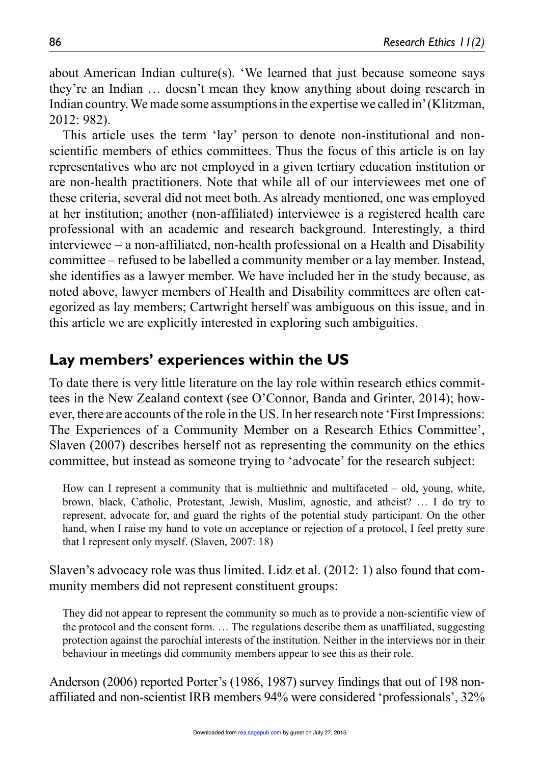about American Indian culture(s). 'We learned that just because someone says they're an Indian … doesn't mean they know anything about doing research in Indian country. We made some assumptions in the expertise we called in' (Klitzman, 2012: 982).

This article uses the term 'lay' person to denote non-institutional and nonscientific members of ethics committees. Thus the focus of this article is on lay representatives who are not employed in a given tertiary education institution or are non-health practitioners. Note that while all of our interviewees met one of these criteria, several did not meet both. As already mentioned, one was employed at her institution; another (non-affiliated) interviewee is a registered health care professional with an academic and research background. Interestingly, a third interviewee – a non-affiliated, non-health professional on a Health and Disability committee – refused to be labelled a community member or a lay member. Instead, she identifies as a lawyer member. We have included her in the study because, as noted above, lawyer members of Health and Disability committees are often categorized as lay members; Cartwright herself was ambiguous on this issue, and in this article we are explicitly interested in exploring such ambiguities.

# **Lay members' experiences within the US**

To date there is very little literature on the lay role within research ethics committees in the New Zealand context (see O'Connor, Banda and Grinter, 2014); however, there are accounts of the role in the US. In her research note 'First Impressions: The Experiences of a Community Member on a Research Ethics Committee', Slaven (2007) describes herself not as representing the community on the ethics committee, but instead as someone trying to 'advocate' for the research subject:

How can I represent a community that is multiethnic and multifaceted  $-$  old, young, white, brown, black, Catholic, Protestant, Jewish, Muslim, agnostic, and atheist? … I do try to represent, advocate for, and guard the rights of the potential study participant. On the other hand, when I raise my hand to vote on acceptance or rejection of a protocol, I feel pretty sure that I represent only myself. (Slaven, 2007: 18)

Slaven's advocacy role was thus limited. Lidz et al. (2012: 1) also found that community members did not represent constituent groups:

They did not appear to represent the community so much as to provide a non-scientific view of the protocol and the consent form. … The regulations describe them as unaffiliated, suggesting protection against the parochial interests of the institution. Neither in the interviews nor in their behaviour in meetings did community members appear to see this as their role.

Anderson (2006) reported Porter's (1986, 1987) survey findings that out of 198 nonaffiliated and non-scientist IRB members 94% were considered 'professionals', 32%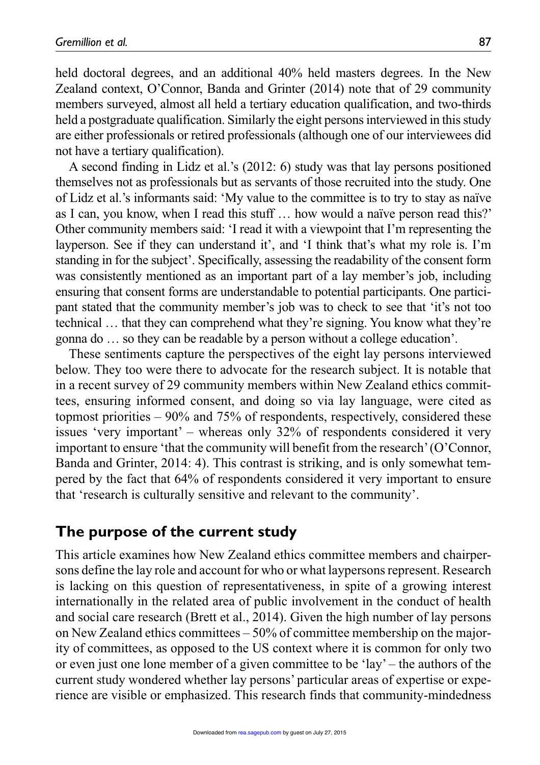held doctoral degrees, and an additional 40% held masters degrees. In the New Zealand context, O'Connor, Banda and Grinter (2014) note that of 29 community members surveyed, almost all held a tertiary education qualification, and two-thirds held a postgraduate qualification. Similarly the eight persons interviewed in this study are either professionals or retired professionals (although one of our interviewees did not have a tertiary qualification).

A second finding in Lidz et al.'s (2012: 6) study was that lay persons positioned themselves not as professionals but as servants of those recruited into the study. One of Lidz et al.'s informants said: 'My value to the committee is to try to stay as naïve as I can, you know, when I read this stuff … how would a naïve person read this?' Other community members said: 'I read it with a viewpoint that I'm representing the layperson. See if they can understand it', and 'I think that's what my role is. I'm standing in for the subject'. Specifically, assessing the readability of the consent form was consistently mentioned as an important part of a lay member's job, including ensuring that consent forms are understandable to potential participants. One participant stated that the community member's job was to check to see that 'it's not too technical … that they can comprehend what they're signing. You know what they're gonna do … so they can be readable by a person without a college education'.

These sentiments capture the perspectives of the eight lay persons interviewed below. They too were there to advocate for the research subject. It is notable that in a recent survey of 29 community members within New Zealand ethics committees, ensuring informed consent, and doing so via lay language, were cited as topmost priorities – 90% and 75% of respondents, respectively, considered these issues 'very important' – whereas only 32% of respondents considered it very important to ensure 'that the community will benefit from the research' (O'Connor, Banda and Grinter, 2014: 4). This contrast is striking, and is only somewhat tempered by the fact that 64% of respondents considered it very important to ensure that 'research is culturally sensitive and relevant to the community'.

### **The purpose of the current study**

This article examines how New Zealand ethics committee members and chairpersons define the lay role and account for who or what laypersons represent. Research is lacking on this question of representativeness, in spite of a growing interest internationally in the related area of public involvement in the conduct of health and social care research (Brett et al., 2014). Given the high number of lay persons on New Zealand ethics committees – 50% of committee membership on the majority of committees, as opposed to the US context where it is common for only two or even just one lone member of a given committee to be 'lay' – the authors of the current study wondered whether lay persons' particular areas of expertise or experience are visible or emphasized. This research finds that community-mindedness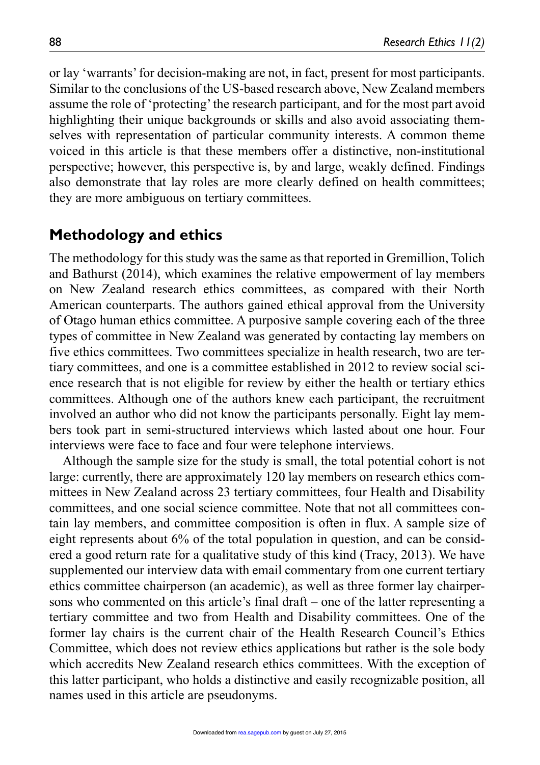or lay 'warrants' for decision-making are not, in fact, present for most participants. Similar to the conclusions of the US-based research above, New Zealand members assume the role of 'protecting' the research participant, and for the most part avoid highlighting their unique backgrounds or skills and also avoid associating themselves with representation of particular community interests. A common theme voiced in this article is that these members offer a distinctive, non-institutional perspective; however, this perspective is, by and large, weakly defined. Findings also demonstrate that lay roles are more clearly defined on health committees; they are more ambiguous on tertiary committees.

# **Methodology and ethics**

The methodology for this study was the same as that reported in Gremillion, Tolich and Bathurst (2014), which examines the relative empowerment of lay members on New Zealand research ethics committees, as compared with their North American counterparts. The authors gained ethical approval from the University of Otago human ethics committee. A purposive sample covering each of the three types of committee in New Zealand was generated by contacting lay members on five ethics committees. Two committees specialize in health research, two are tertiary committees, and one is a committee established in 2012 to review social science research that is not eligible for review by either the health or tertiary ethics committees. Although one of the authors knew each participant, the recruitment involved an author who did not know the participants personally. Eight lay members took part in semi-structured interviews which lasted about one hour. Four interviews were face to face and four were telephone interviews.

Although the sample size for the study is small, the total potential cohort is not large: currently, there are approximately 120 lay members on research ethics committees in New Zealand across 23 tertiary committees, four Health and Disability committees, and one social science committee. Note that not all committees contain lay members, and committee composition is often in flux. A sample size of eight represents about 6% of the total population in question, and can be considered a good return rate for a qualitative study of this kind (Tracy, 2013). We have supplemented our interview data with email commentary from one current tertiary ethics committee chairperson (an academic), as well as three former lay chairpersons who commented on this article's final draft – one of the latter representing a tertiary committee and two from Health and Disability committees. One of the former lay chairs is the current chair of the Health Research Council's Ethics Committee, which does not review ethics applications but rather is the sole body which accredits New Zealand research ethics committees. With the exception of this latter participant, who holds a distinctive and easily recognizable position, all names used in this article are pseudonyms.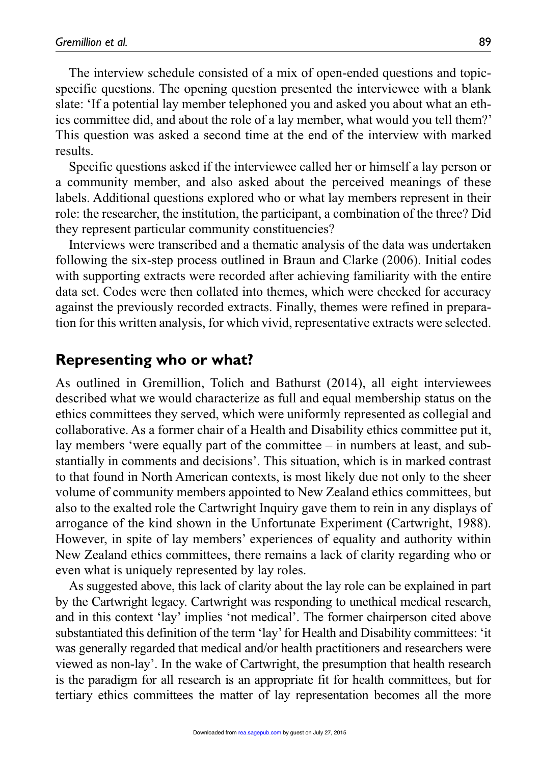The interview schedule consisted of a mix of open-ended questions and topicspecific questions. The opening question presented the interviewee with a blank slate: 'If a potential lay member telephoned you and asked you about what an ethics committee did, and about the role of a lay member, what would you tell them?' This question was asked a second time at the end of the interview with marked results.

Specific questions asked if the interviewee called her or himself a lay person or a community member, and also asked about the perceived meanings of these labels. Additional questions explored who or what lay members represent in their role: the researcher, the institution, the participant, a combination of the three? Did they represent particular community constituencies?

Interviews were transcribed and a thematic analysis of the data was undertaken following the six-step process outlined in Braun and Clarke (2006). Initial codes with supporting extracts were recorded after achieving familiarity with the entire data set. Codes were then collated into themes, which were checked for accuracy against the previously recorded extracts. Finally, themes were refined in preparation for this written analysis, for which vivid, representative extracts were selected.

#### **Representing who or what?**

As outlined in Gremillion, Tolich and Bathurst (2014), all eight interviewees described what we would characterize as full and equal membership status on the ethics committees they served, which were uniformly represented as collegial and collaborative. As a former chair of a Health and Disability ethics committee put it, lay members 'were equally part of the committee – in numbers at least, and substantially in comments and decisions'. This situation, which is in marked contrast to that found in North American contexts, is most likely due not only to the sheer volume of community members appointed to New Zealand ethics committees, but also to the exalted role the Cartwright Inquiry gave them to rein in any displays of arrogance of the kind shown in the Unfortunate Experiment (Cartwright, 1988). However, in spite of lay members' experiences of equality and authority within New Zealand ethics committees, there remains a lack of clarity regarding who or even what is uniquely represented by lay roles.

As suggested above, this lack of clarity about the lay role can be explained in part by the Cartwright legacy. Cartwright was responding to unethical medical research, and in this context 'lay' implies 'not medical'. The former chairperson cited above substantiated this definition of the term 'lay' for Health and Disability committees: 'it was generally regarded that medical and/or health practitioners and researchers were viewed as non-lay'. In the wake of Cartwright, the presumption that health research is the paradigm for all research is an appropriate fit for health committees, but for tertiary ethics committees the matter of lay representation becomes all the more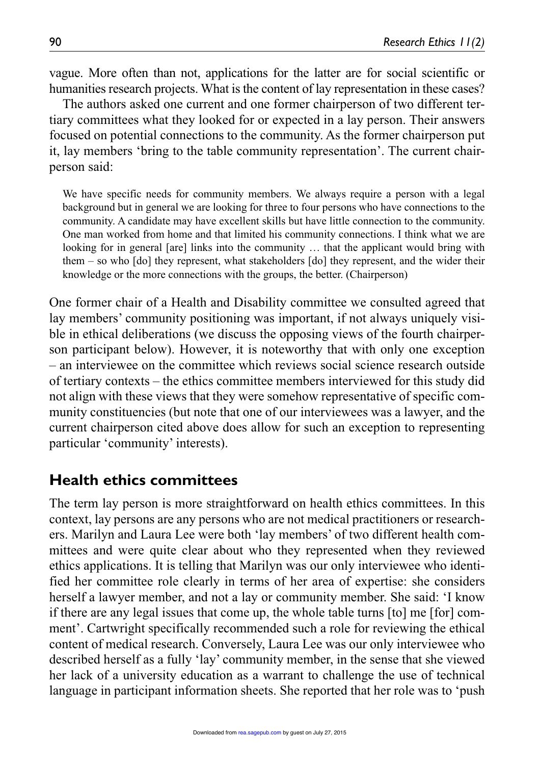vague. More often than not, applications for the latter are for social scientific or humanities research projects. What is the content of lay representation in these cases?

The authors asked one current and one former chairperson of two different tertiary committees what they looked for or expected in a lay person. Their answers focused on potential connections to the community. As the former chairperson put it, lay members 'bring to the table community representation'. The current chairperson said:

We have specific needs for community members. We always require a person with a legal background but in general we are looking for three to four persons who have connections to the community. A candidate may have excellent skills but have little connection to the community. One man worked from home and that limited his community connections. I think what we are looking for in general [are] links into the community … that the applicant would bring with them – so who [do] they represent, what stakeholders [do] they represent, and the wider their knowledge or the more connections with the groups, the better. (Chairperson)

One former chair of a Health and Disability committee we consulted agreed that lay members' community positioning was important, if not always uniquely visible in ethical deliberations (we discuss the opposing views of the fourth chairperson participant below). However, it is noteworthy that with only one exception – an interviewee on the committee which reviews social science research outside of tertiary contexts – the ethics committee members interviewed for this study did not align with these views that they were somehow representative of specific community constituencies (but note that one of our interviewees was a lawyer, and the current chairperson cited above does allow for such an exception to representing particular 'community' interests).

# **Health ethics committees**

The term lay person is more straightforward on health ethics committees. In this context, lay persons are any persons who are not medical practitioners or researchers. Marilyn and Laura Lee were both 'lay members' of two different health committees and were quite clear about who they represented when they reviewed ethics applications. It is telling that Marilyn was our only interviewee who identified her committee role clearly in terms of her area of expertise: she considers herself a lawyer member, and not a lay or community member. She said: 'I know if there are any legal issues that come up, the whole table turns [to] me [for] comment'. Cartwright specifically recommended such a role for reviewing the ethical content of medical research. Conversely, Laura Lee was our only interviewee who described herself as a fully 'lay' community member, in the sense that she viewed her lack of a university education as a warrant to challenge the use of technical language in participant information sheets. She reported that her role was to 'push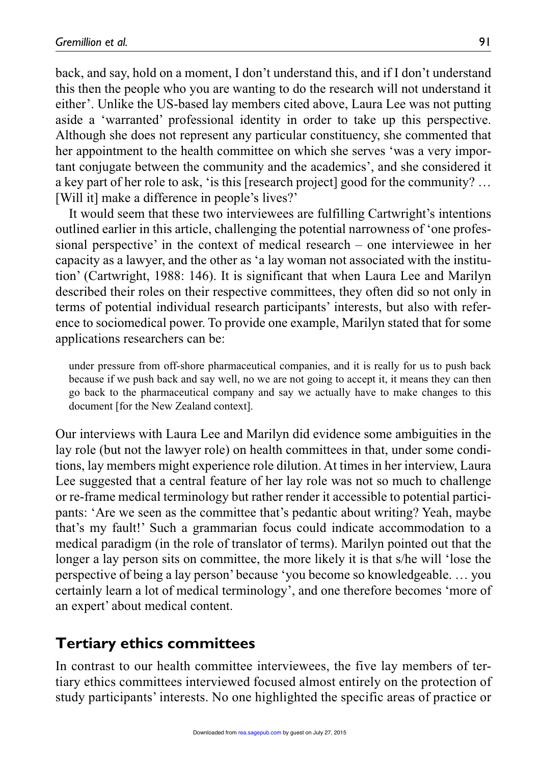back, and say, hold on a moment, I don't understand this, and if I don't understand this then the people who you are wanting to do the research will not understand it either'. Unlike the US-based lay members cited above, Laura Lee was not putting aside a 'warranted' professional identity in order to take up this perspective. Although she does not represent any particular constituency, she commented that her appointment to the health committee on which she serves 'was a very important conjugate between the community and the academics', and she considered it a key part of her role to ask, 'is this [research project] good for the community? … [Will it] make a difference in people's lives?'

It would seem that these two interviewees are fulfilling Cartwright's intentions outlined earlier in this article, challenging the potential narrowness of 'one professional perspective' in the context of medical research – one interviewee in her capacity as a lawyer, and the other as 'a lay woman not associated with the institution' (Cartwright, 1988: 146). It is significant that when Laura Lee and Marilyn described their roles on their respective committees, they often did so not only in terms of potential individual research participants' interests, but also with reference to sociomedical power. To provide one example, Marilyn stated that for some applications researchers can be:

under pressure from off-shore pharmaceutical companies, and it is really for us to push back because if we push back and say well, no we are not going to accept it, it means they can then go back to the pharmaceutical company and say we actually have to make changes to this document [for the New Zealand context].

Our interviews with Laura Lee and Marilyn did evidence some ambiguities in the lay role (but not the lawyer role) on health committees in that, under some conditions, lay members might experience role dilution. At times in her interview, Laura Lee suggested that a central feature of her lay role was not so much to challenge or re-frame medical terminology but rather render it accessible to potential participants: 'Are we seen as the committee that's pedantic about writing? Yeah, maybe that's my fault!' Such a grammarian focus could indicate accommodation to a medical paradigm (in the role of translator of terms). Marilyn pointed out that the longer a lay person sits on committee, the more likely it is that s/he will 'lose the perspective of being a lay person' because 'you become so knowledgeable. … you certainly learn a lot of medical terminology', and one therefore becomes 'more of an expert' about medical content.

# **Tertiary ethics committees**

In contrast to our health committee interviewees, the five lay members of tertiary ethics committees interviewed focused almost entirely on the protection of study participants' interests. No one highlighted the specific areas of practice or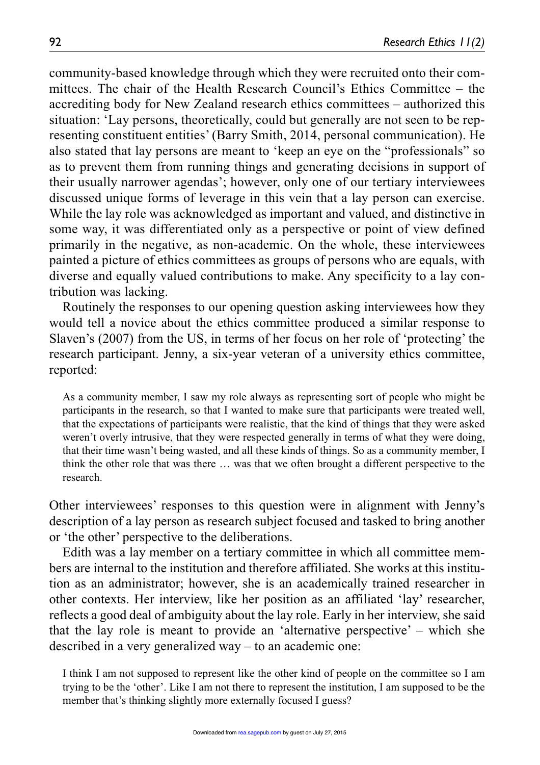community-based knowledge through which they were recruited onto their committees. The chair of the Health Research Council's Ethics Committee – the accrediting body for New Zealand research ethics committees – authorized this situation: 'Lay persons, theoretically, could but generally are not seen to be representing constituent entities' (Barry Smith, 2014, personal communication). He also stated that lay persons are meant to 'keep an eye on the "professionals" so as to prevent them from running things and generating decisions in support of their usually narrower agendas'; however, only one of our tertiary interviewees discussed unique forms of leverage in this vein that a lay person can exercise. While the lay role was acknowledged as important and valued, and distinctive in some way, it was differentiated only as a perspective or point of view defined primarily in the negative, as non-academic. On the whole, these interviewees painted a picture of ethics committees as groups of persons who are equals, with diverse and equally valued contributions to make. Any specificity to a lay contribution was lacking.

Routinely the responses to our opening question asking interviewees how they would tell a novice about the ethics committee produced a similar response to Slaven's (2007) from the US, in terms of her focus on her role of 'protecting' the research participant. Jenny, a six-year veteran of a university ethics committee, reported:

As a community member, I saw my role always as representing sort of people who might be participants in the research, so that I wanted to make sure that participants were treated well, that the expectations of participants were realistic, that the kind of things that they were asked weren't overly intrusive, that they were respected generally in terms of what they were doing, that their time wasn't being wasted, and all these kinds of things. So as a community member, I think the other role that was there … was that we often brought a different perspective to the research.

Other interviewees' responses to this question were in alignment with Jenny's description of a lay person as research subject focused and tasked to bring another or 'the other' perspective to the deliberations.

Edith was a lay member on a tertiary committee in which all committee members are internal to the institution and therefore affiliated. She works at this institution as an administrator; however, she is an academically trained researcher in other contexts. Her interview, like her position as an affiliated 'lay' researcher, reflects a good deal of ambiguity about the lay role. Early in her interview, she said that the lay role is meant to provide an 'alternative perspective' – which she described in a very generalized way – to an academic one:

I think I am not supposed to represent like the other kind of people on the committee so I am trying to be the 'other'. Like I am not there to represent the institution, I am supposed to be the member that's thinking slightly more externally focused I guess?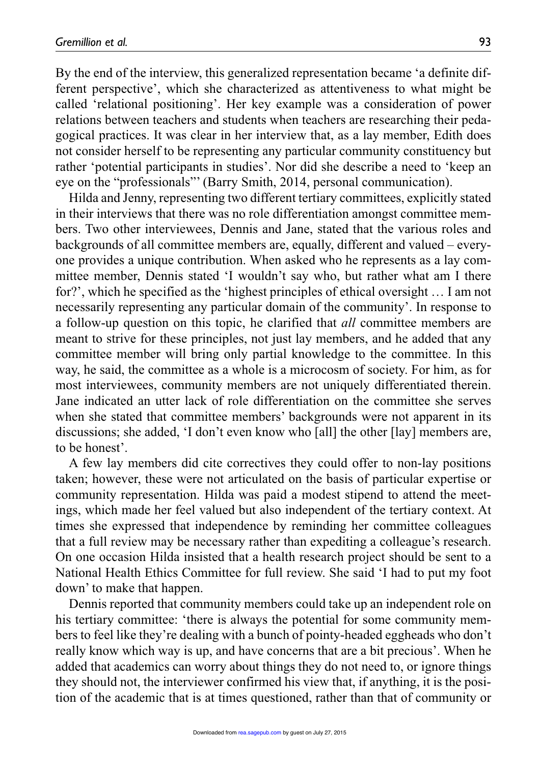By the end of the interview, this generalized representation became 'a definite different perspective', which she characterized as attentiveness to what might be called 'relational positioning'. Her key example was a consideration of power relations between teachers and students when teachers are researching their pedagogical practices. It was clear in her interview that, as a lay member, Edith does not consider herself to be representing any particular community constituency but rather 'potential participants in studies'. Nor did she describe a need to 'keep an eye on the "professionals"' (Barry Smith, 2014, personal communication).

Hilda and Jenny, representing two different tertiary committees, explicitly stated in their interviews that there was no role differentiation amongst committee members. Two other interviewees, Dennis and Jane, stated that the various roles and backgrounds of all committee members are, equally, different and valued – everyone provides a unique contribution. When asked who he represents as a lay committee member, Dennis stated 'I wouldn't say who, but rather what am I there for?', which he specified as the 'highest principles of ethical oversight … I am not necessarily representing any particular domain of the community'. In response to a follow-up question on this topic, he clarified that *all* committee members are meant to strive for these principles, not just lay members, and he added that any committee member will bring only partial knowledge to the committee. In this way, he said, the committee as a whole is a microcosm of society. For him, as for most interviewees, community members are not uniquely differentiated therein. Jane indicated an utter lack of role differentiation on the committee she serves when she stated that committee members' backgrounds were not apparent in its discussions; she added, 'I don't even know who [all] the other [lay] members are, to be honest'.

A few lay members did cite correctives they could offer to non-lay positions taken; however, these were not articulated on the basis of particular expertise or community representation. Hilda was paid a modest stipend to attend the meetings, which made her feel valued but also independent of the tertiary context. At times she expressed that independence by reminding her committee colleagues that a full review may be necessary rather than expediting a colleague's research. On one occasion Hilda insisted that a health research project should be sent to a National Health Ethics Committee for full review. She said 'I had to put my foot down' to make that happen.

Dennis reported that community members could take up an independent role on his tertiary committee: 'there is always the potential for some community members to feel like they're dealing with a bunch of pointy-headed eggheads who don't really know which way is up, and have concerns that are a bit precious'. When he added that academics can worry about things they do not need to, or ignore things they should not, the interviewer confirmed his view that, if anything, it is the position of the academic that is at times questioned, rather than that of community or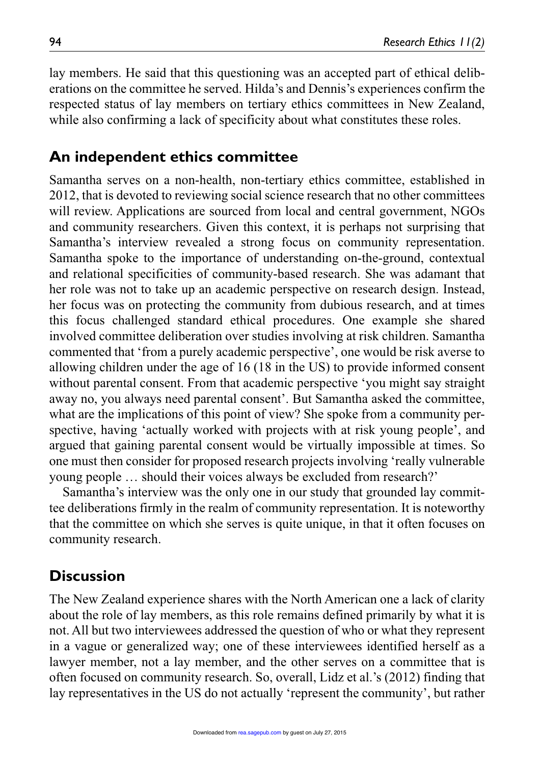lay members. He said that this questioning was an accepted part of ethical deliberations on the committee he served. Hilda's and Dennis's experiences confirm the respected status of lay members on tertiary ethics committees in New Zealand, while also confirming a lack of specificity about what constitutes these roles.

# **An independent ethics committee**

Samantha serves on a non-health, non-tertiary ethics committee, established in 2012, that is devoted to reviewing social science research that no other committees will review. Applications are sourced from local and central government, NGOs and community researchers. Given this context, it is perhaps not surprising that Samantha's interview revealed a strong focus on community representation. Samantha spoke to the importance of understanding on-the-ground, contextual and relational specificities of community-based research. She was adamant that her role was not to take up an academic perspective on research design. Instead, her focus was on protecting the community from dubious research, and at times this focus challenged standard ethical procedures. One example she shared involved committee deliberation over studies involving at risk children. Samantha commented that 'from a purely academic perspective', one would be risk averse to allowing children under the age of 16 (18 in the US) to provide informed consent without parental consent. From that academic perspective 'you might say straight away no, you always need parental consent'. But Samantha asked the committee, what are the implications of this point of view? She spoke from a community perspective, having 'actually worked with projects with at risk young people', and argued that gaining parental consent would be virtually impossible at times. So one must then consider for proposed research projects involving 'really vulnerable young people … should their voices always be excluded from research?'

Samantha's interview was the only one in our study that grounded lay committee deliberations firmly in the realm of community representation. It is noteworthy that the committee on which she serves is quite unique, in that it often focuses on community research.

# **Discussion**

The New Zealand experience shares with the North American one a lack of clarity about the role of lay members, as this role remains defined primarily by what it is not. All but two interviewees addressed the question of who or what they represent in a vague or generalized way; one of these interviewees identified herself as a lawyer member, not a lay member, and the other serves on a committee that is often focused on community research. So, overall, Lidz et al.'s (2012) finding that lay representatives in the US do not actually 'represent the community', but rather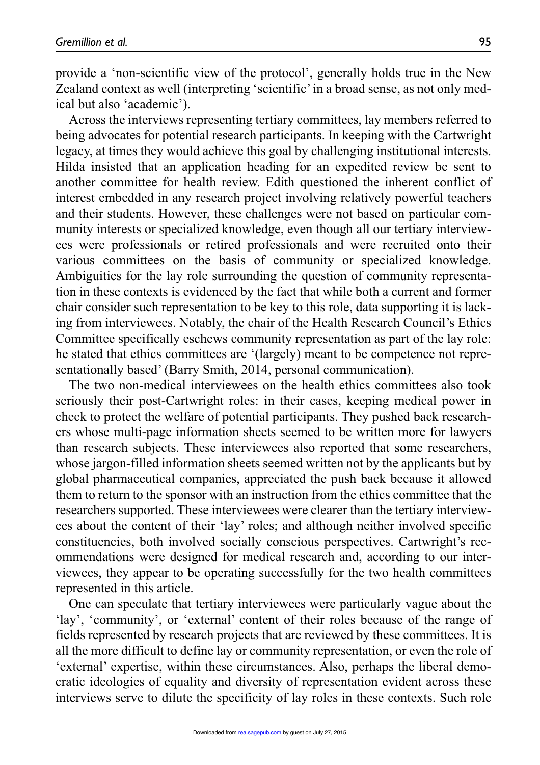provide a 'non-scientific view of the protocol', generally holds true in the New Zealand context as well (interpreting 'scientific' in a broad sense, as not only medical but also 'academic').

Across the interviews representing tertiary committees, lay members referred to being advocates for potential research participants. In keeping with the Cartwright legacy, at times they would achieve this goal by challenging institutional interests. Hilda insisted that an application heading for an expedited review be sent to another committee for health review. Edith questioned the inherent conflict of interest embedded in any research project involving relatively powerful teachers and their students. However, these challenges were not based on particular community interests or specialized knowledge, even though all our tertiary interviewees were professionals or retired professionals and were recruited onto their various committees on the basis of community or specialized knowledge. Ambiguities for the lay role surrounding the question of community representation in these contexts is evidenced by the fact that while both a current and former chair consider such representation to be key to this role, data supporting it is lacking from interviewees. Notably, the chair of the Health Research Council's Ethics Committee specifically eschews community representation as part of the lay role: he stated that ethics committees are '(largely) meant to be competence not representationally based' (Barry Smith, 2014, personal communication).

The two non-medical interviewees on the health ethics committees also took seriously their post-Cartwright roles: in their cases, keeping medical power in check to protect the welfare of potential participants. They pushed back researchers whose multi-page information sheets seemed to be written more for lawyers than research subjects. These interviewees also reported that some researchers, whose jargon-filled information sheets seemed written not by the applicants but by global pharmaceutical companies, appreciated the push back because it allowed them to return to the sponsor with an instruction from the ethics committee that the researchers supported. These interviewees were clearer than the tertiary interviewees about the content of their 'lay' roles; and although neither involved specific constituencies, both involved socially conscious perspectives. Cartwright's recommendations were designed for medical research and, according to our interviewees, they appear to be operating successfully for the two health committees represented in this article.

One can speculate that tertiary interviewees were particularly vague about the 'lay', 'community', or 'external' content of their roles because of the range of fields represented by research projects that are reviewed by these committees. It is all the more difficult to define lay or community representation, or even the role of 'external' expertise, within these circumstances. Also, perhaps the liberal democratic ideologies of equality and diversity of representation evident across these interviews serve to dilute the specificity of lay roles in these contexts. Such role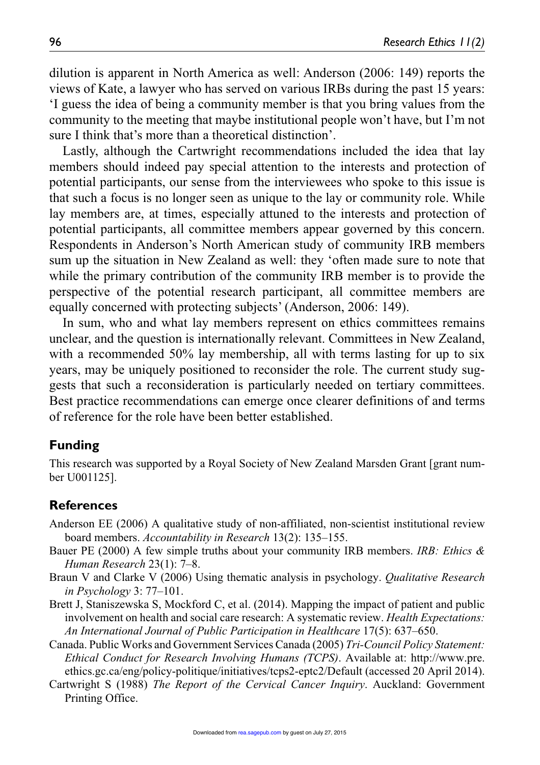dilution is apparent in North America as well: Anderson (2006: 149) reports the views of Kate, a lawyer who has served on various IRBs during the past 15 years: 'I guess the idea of being a community member is that you bring values from the community to the meeting that maybe institutional people won't have, but I'm not sure I think that's more than a theoretical distinction'.

Lastly, although the Cartwright recommendations included the idea that lay members should indeed pay special attention to the interests and protection of potential participants, our sense from the interviewees who spoke to this issue is that such a focus is no longer seen as unique to the lay or community role. While lay members are, at times, especially attuned to the interests and protection of potential participants, all committee members appear governed by this concern. Respondents in Anderson's North American study of community IRB members sum up the situation in New Zealand as well: they 'often made sure to note that while the primary contribution of the community IRB member is to provide the perspective of the potential research participant, all committee members are equally concerned with protecting subjects' (Anderson, 2006: 149).

In sum, who and what lay members represent on ethics committees remains unclear, and the question is internationally relevant. Committees in New Zealand, with a recommended 50% lay membership, all with terms lasting for up to six years, may be uniquely positioned to reconsider the role. The current study suggests that such a reconsideration is particularly needed on tertiary committees. Best practice recommendations can emerge once clearer definitions of and terms of reference for the role have been better established.

### **Funding**

This research was supported by a Royal Society of New Zealand Marsden Grant [grant number U001125].

### **References**

- Anderson EE (2006) A qualitative study of non-affiliated, non-scientist institutional review board members. *Accountability in Research* 13(2): 135–155.
- Bauer PE (2000) A few simple truths about your community IRB members. *IRB: Ethics & Human Research* 23(1): 7–8.
- Braun V and Clarke V (2006) Using thematic analysis in psychology. *Qualitative Research in Psychology* 3: 77–101.
- Brett J, Staniszewska S, Mockford C, et al. (2014). Mapping the impact of patient and public involvement on health and social care research: A systematic review. *Health Expectations: An International Journal of Public Participation in Healthcare* 17(5): 637–650.
- Canada. Public Works and Government Services Canada (2005) *Tri-Council Policy Statement: Ethical Conduct for Research Involving Humans (TCPS)*. Available at: http://www.pre. ethics.gc.ca/eng/policy-politique/initiatives/tcps2-eptc2/Default (accessed 20 April 2014).
- Cartwright S (1988) *The Report of the Cervical Cancer Inquiry*. Auckland: Government Printing Office.